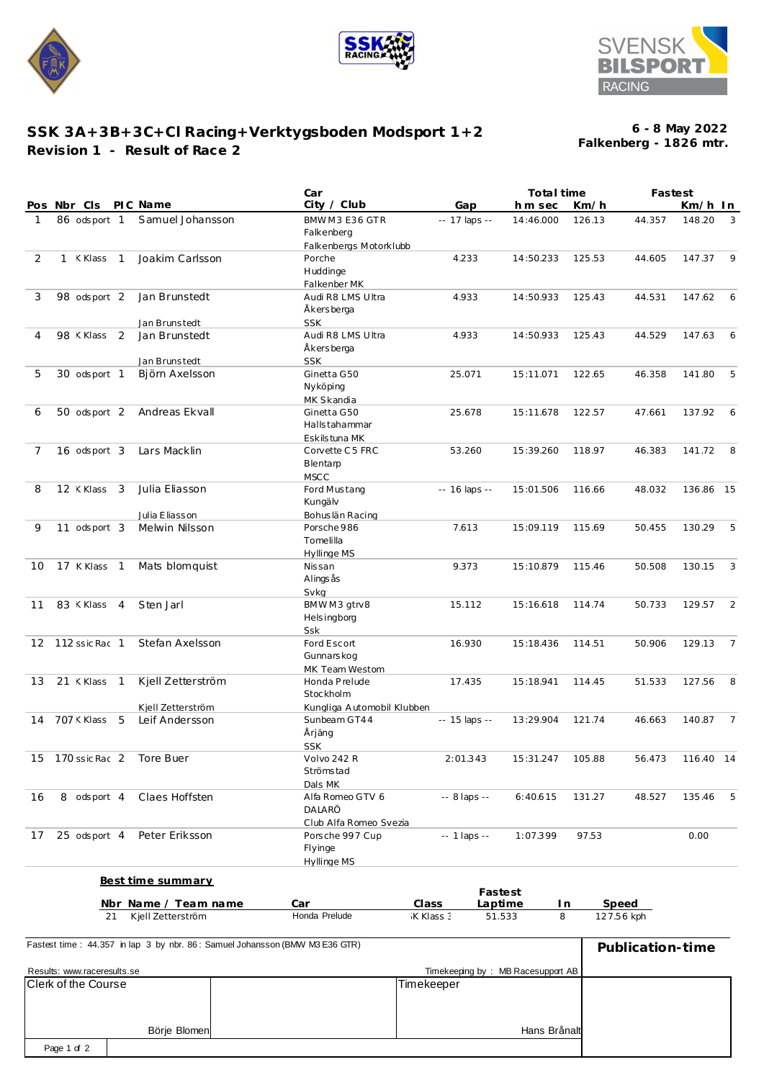





## **SSK 3A+3B+3C+Cl Racing+Verktygsboden Modsport 1+2 Revision 1 - Result of Race 2**

**Falkenberg - 1826 mtr. 6 - 8 May 2022**

|                                                                             | Car                                       |                                   | Total time       |        |                  | Fastest          |                |
|-----------------------------------------------------------------------------|-------------------------------------------|-----------------------------------|------------------|--------|------------------|------------------|----------------|
| PIC Name<br>Pos Nbr Cls                                                     | City / Club                               | Gap                               | hm sec           | Km/h   |                  | Km/h In          |                |
| 86 odsport 1<br>Samuel Johansson<br>1                                       | BMWM3E36GTR<br>Falkenberg                 | -- 17 laps --                     | 14:46.000        | 126.13 | 44.357           | 148.20           | 3              |
| 2<br>1 KKlass 1                                                             | Falkenbergs Motorklubb                    |                                   |                  |        |                  |                  | -9             |
| Joakim Carlsson                                                             | Porche<br>Huddinge<br>Falkenber MK        | 4.233                             | 14:50.233        | 125.53 | 44.605           | 147.37           |                |
| Jan Brunstedt<br>3<br>98 odsport 2                                          | Audi R8 LMS Ultra<br>Åkersberga           | 4.933                             | 14:50.933        | 125.43 | 44.531           | 147.62           | 6              |
| Jan Brunstedt                                                               | <b>SSK</b>                                |                                   |                  |        |                  |                  |                |
| Jan Brunstedt<br>$\overline{2}$<br>98 < Klass<br>4                          | Audi R8 LMS Ultra                         | 4.933                             | 14:50.933        | 125.43 | 44.529           | 147.63           | - 6            |
|                                                                             | Åkersberga                                |                                   |                  |        |                  |                  |                |
| Jan Brunstedt                                                               | <b>SSK</b>                                |                                   |                  |        |                  |                  |                |
| 5<br>30 odsport 1<br>Björn Axelsson                                         | Ginetta G50<br>Nyköping                   | 25.071                            | 15:11.071        | 122.65 | 46.358           | 141.80           | - 5            |
| 50 odsport 2 Andreas Ekvall<br>6                                            | MK Skandia<br>Ginetta G50                 | 25.678                            | 15:11.678        | 122.57 |                  | 137.92           | - 6            |
|                                                                             | Halls tahammar<br>Eskilstuna MK           |                                   |                  |        | 47.661           |                  |                |
| 16 odsport 3<br>Lars Macklin<br>7                                           | Corvette C5 FRC                           | 53.260                            | 15:39.260        | 118.97 | 46.383           | 141.72           | 8              |
|                                                                             | Blentam<br><b>MSCC</b>                    |                                   |                  |        |                  |                  |                |
| Julia Eliasson<br>12 <klass 3<br="">8</klass>                               | Ford Mustang                              | $- 16$ laps $- $                  | 15:01.506        | 116.66 | 48.032           | 136.86 15        |                |
|                                                                             | Kungälv                                   |                                   |                  |        |                  |                  |                |
| Julia Eliasson<br>9                                                         | Bohuslän Racing                           |                                   |                  |        |                  |                  |                |
| 11 odsport 3<br>Melwin Nilsson                                              | Porsche 986<br>Tomelilla<br>Hyllinge MS   | 7.613                             | 15:09.119        | 115.69 | 50.455           | 130.29           | - 5            |
| 17 K Klass 1<br>Mats blomquist<br>10                                        | Nissan                                    | 9.373                             | 15:10.879        | 115.46 | 50.508           | 130.15           | 3              |
|                                                                             | Alings ås<br>Svkg                         |                                   |                  |        |                  |                  |                |
| 83 <klass 4<br="">Sten Jarl<br/>11</klass>                                  | BMWM3 gtrv8<br><b>Helsingborg</b>         | 15.112                            | 15:16.618        | 114.74 | 50.733           | 129.57           | 2              |
|                                                                             | Ssk                                       |                                   |                  |        |                  |                  |                |
| 12 112 ssic Rac 1<br>Stefan Axelsson                                        | Ford Escort<br>Gunnars kog                | 16.930                            | 15:18.436        | 114.51 | 50.906           | 129.13           | $\overline{7}$ |
| 21 KKlass 1<br>Kjell Zetterström<br>13                                      | MK Team Westom<br>Honda Prelude           | 17.435                            | 15:18.941        | 114.45 | 51.533           | 127.56           | 8              |
|                                                                             | Stockholm                                 |                                   |                  |        |                  |                  |                |
| Kjell Zetterström                                                           | Kungliga Automobil Klubben                |                                   |                  |        |                  |                  |                |
| 707 < Klass<br>5<br>Leif Andersson<br>14                                    | Sunbeam GT44<br>Årjäng<br><b>SSK</b>      | -- 15 laps --                     | 13:29.904        | 121.74 | 46.663           | 140.87           | $\overline{7}$ |
| 15 170 ssic Rac 2 Tore Buer                                                 | Volvo 242 R                               | 2:01.343                          | 15:31.247 105.88 |        |                  | 56.473 116.40 14 |                |
|                                                                             | Strömstad                                 |                                   |                  |        |                  |                  |                |
|                                                                             | Dals MK                                   |                                   |                  |        |                  |                  |                |
| 8 odsport 4<br>Claes Hoffsten<br>16                                         | Alfa Romeo GTV 6<br>DALARÖ                | -- 8 laps --                      | 6:40.615         | 131.27 | 48.527           | 135.46           | -5             |
| 25 odsport 4 Peter Eriksson                                                 | Club Alfa Romeo Svezia                    |                                   |                  | 97.53  |                  |                  |                |
| 17                                                                          | Porsche 997 Cup<br>Flyinge<br>Hyllinge MS | $-1$ laps $-$                     | 1:07.399         |        |                  | 0.00             |                |
| <b>Best time summary</b>                                                    |                                           |                                   |                  |        |                  |                  |                |
|                                                                             |                                           | Fastest                           |                  |        |                  |                  |                |
| Nbr Name / Team name                                                        | Car                                       | Class<br>Laptime                  | In               |        | Speed            |                  |                |
| Kjell Zetterström<br>21                                                     | Honda Prelude                             | K Klass 3                         | 8<br>51.533      |        | 127.56 kph       |                  |                |
| Fastest time: 44.357 in lap 3 by nbr. 86: Samuel Johansson (BMW M3 E36 GTR) |                                           |                                   |                  |        | Publication-time |                  |                |
| Results: www.raceresults.se                                                 |                                           | Timekeeping by: MB Racesupport AB |                  |        |                  |                  |                |
| Clerk of the Course                                                         |                                           | Timekeeper                        |                  |        |                  |                  |                |